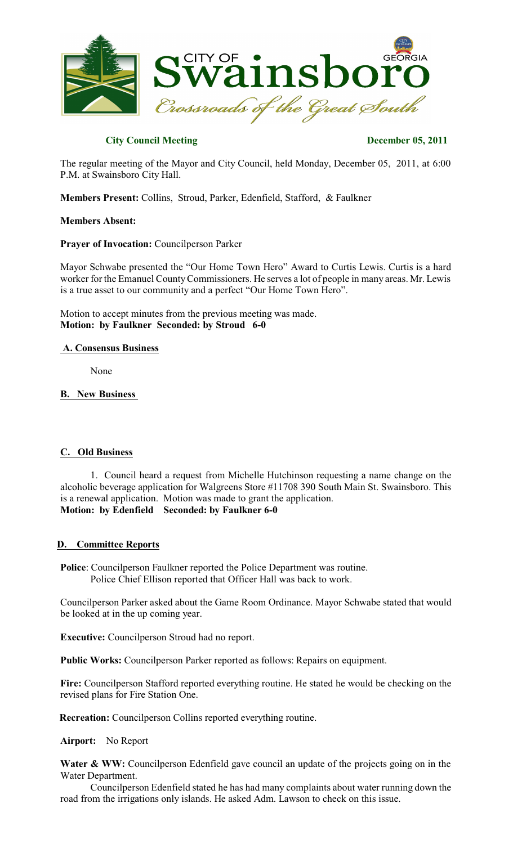

# **City Council Meeting December 05, 2011**

The regular meeting of the Mayor and City Council, held Monday, December 05, 2011, at 6:00 P.M. at Swainsboro City Hall.

**Members Present:** Collins, Stroud, Parker, Edenfield, Stafford, & Faulkner

### **Members Absent:**

### **Prayer of Invocation:** Councilperson Parker

Mayor Schwabe presented the "Our Home Town Hero" Award to Curtis Lewis. Curtis is a hard worker for the Emanuel County Commissioners. He serves a lot of people in many areas. Mr. Lewis is a true asset to our community and a perfect "Our Home Town Hero".

Motion to accept minutes from the previous meeting was made. **Motion: by Faulkner Seconded: by Stroud 6-0**

### **A. Consensus Business**

None

# **B. New Business**

# **C. Old Business**

1. Council heard a request from Michelle Hutchinson requesting a name change on the alcoholic beverage application for Walgreens Store #11708 390 South Main St. Swainsboro. This is a renewal application. Motion was made to grant the application. **Motion: by Edenfield Seconded: by Faulkner 6-0**

# **D. Committee Reports**

**Police**: Councilperson Faulkner reported the Police Department was routine. Police Chief Ellison reported that Officer Hall was back to work.

Councilperson Parker asked about the Game Room Ordinance. Mayor Schwabe stated that would be looked at in the up coming year.

**Executive:** Councilperson Stroud had no report.

**Public Works:** Councilperson Parker reported as follows: Repairs on equipment.

**Fire:** Councilperson Stafford reported everything routine. He stated he would be checking on the revised plans for Fire Station One.

 **Recreation:** Councilperson Collins reported everything routine.

# **Airport:** No Report

Water & WW: Councilperson Edenfield gave council an update of the projects going on in the Water Department.

Councilperson Edenfield stated he has had many complaints about water running down the road from the irrigations only islands. He asked Adm. Lawson to check on this issue.